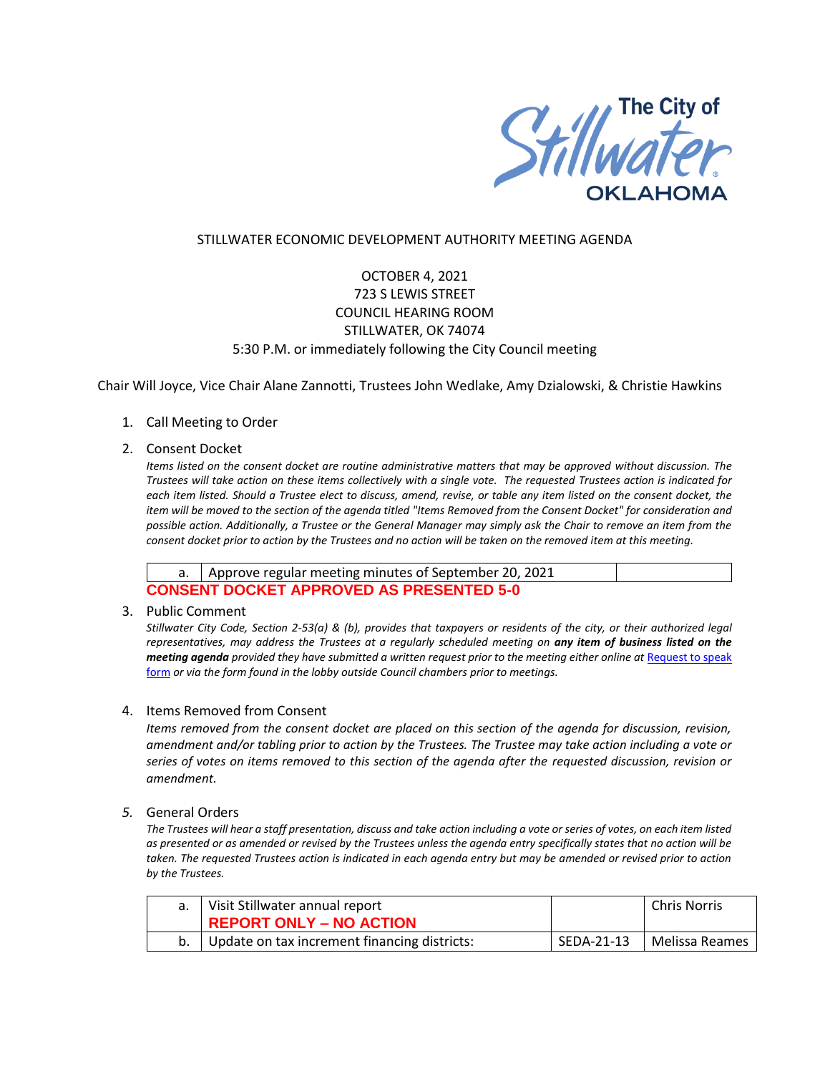

## STILLWATER ECONOMIC DEVELOPMENT AUTHORITY MEETING AGENDA

# OCTOBER 4, 2021 723 S LEWIS STREET COUNCIL HEARING ROOM STILLWATER, OK 74074 5:30 P.M. or immediately following the City Council meeting

Chair Will Joyce, Vice Chair Alane Zannotti, Trustees John Wedlake, Amy Dzialowski, & Christie Hawkins

1. Call Meeting to Order

### 2. Consent Docket

*Items listed on the consent docket are routine administrative matters that may be approved without discussion. The Trustees will take action on these items collectively with a single vote. The requested Trustees action is indicated for each item listed. Should a Trustee elect to discuss, amend, revise, or table any item listed on the consent docket, the item will be moved to the section of the agenda titled "Items Removed from the Consent Docket" for consideration and possible action. Additionally, a Trustee or the General Manager may simply ask the Chair to remove an item from the consent docket prior to action by the Trustees and no action will be taken on the removed item at this meeting.*

|                                                 | a.   Approve regular meeting minutes of September 20, 2021 |  |  |  |
|-------------------------------------------------|------------------------------------------------------------|--|--|--|
| <b>CONSENT DOCKET APPROVED AS PRESENTED 5-0</b> |                                                            |  |  |  |

3. Public Comment

*Stillwater City Code, Section 2-53(a) & (b), provides that taxpayers or residents of the city, or their authorized legal representatives, may address the Trustees at a regularly scheduled meeting on any item of business listed on the meeting agenda provided they have submitted a written request prior to the meeting either online at Request to speak* [form](http://stillwater.org/page/home/government/mayor-city-council/meetings-agendas-minutes/online-request-to-speak-at-city-council) *or via the form found in the lobby outside Council chambers prior to meetings.*

### 4. Items Removed from Consent

*Items removed from the consent docket are placed on this section of the agenda for discussion, revision, amendment and/or tabling prior to action by the Trustees. The Trustee may take action including a vote or series of votes on items removed to this section of the agenda after the requested discussion, revision or amendment.*

### *5.* General Orders

*The Trustees will hear a staff presentation, discuss and take action including a vote or series of votes, on each item listed as presented or as amended or revised by the Trustees unless the agenda entry specifically states that no action will be taken. The requested Trustees action is indicated in each agenda entry but may be amended or revised prior to action by the Trustees.* 

| Visit Stillwater annual report<br><b>REPORT ONLY - NO ACTION</b> |            | Chris Norris   |
|------------------------------------------------------------------|------------|----------------|
| Update on tax increment financing districts:                     | SEDA-21-13 | Melissa Reames |